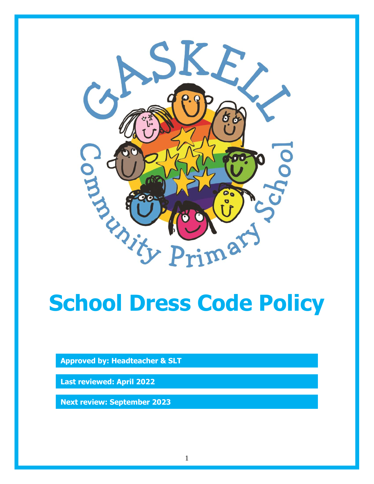

# **School Dress Code Policy**

**Approved by: Headteacher & SLT**

**Last reviewed: April 2022**

**Next review: September 2023**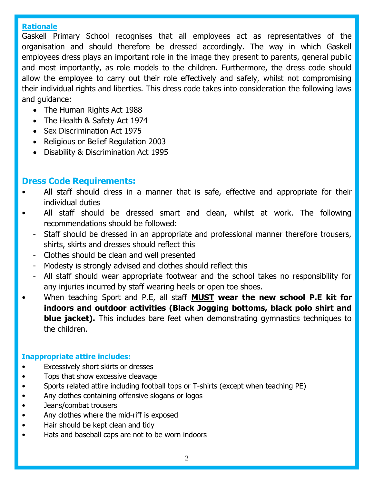## **Rationale**

Gaskell Primary School recognises that all employees act as representatives of the organisation and should therefore be dressed accordingly. The way in which Gaskell employees dress plays an important role in the image they present to parents, general public and most importantly, as role models to the children. Furthermore, the dress code should allow the employee to carry out their role effectively and safely, whilst not compromising their individual rights and liberties. This dress code takes into consideration the following laws and guidance:

- The Human Rights Act 1988
- The Health & Safety Act 1974
- Sex Discrimination Act 1975
- Religious or Belief Regulation 2003
- Disability & Discrimination Act 1995

# **Dress Code Requirements:**

- All staff should dress in a manner that is safe, effective and appropriate for their individual duties
- All staff should be dressed smart and clean, whilst at work. The following recommendations should be followed:
	- Staff should be dressed in an appropriate and professional manner therefore trousers, shirts, skirts and dresses should reflect this
	- Clothes should be clean and well presented
	- Modesty is strongly advised and clothes should reflect this
	- All staff should wear appropriate footwear and the school takes no responsibility for any injuries incurred by staff wearing heels or open toe shoes.
- When teaching Sport and P.E, all staff **MUST wear the new school P.E kit for indoors and outdoor activities (Black Jogging bottoms, black polo shirt and blue jacket).** This includes bare feet when demonstrating gymnastics techniques to the children.

# **Inappropriate attire includes:**

- **Excessively short skirts or dresses**
- Tops that show excessive cleavage
- Sports related attire including football tops or T-shirts (except when teaching PE)
- Any clothes containing offensive slogans or logos
- Jeans/combat trousers
- Any clothes where the mid-riff is exposed
- Hair should be kept clean and tidy
- Hats and baseball caps are not to be worn indoors